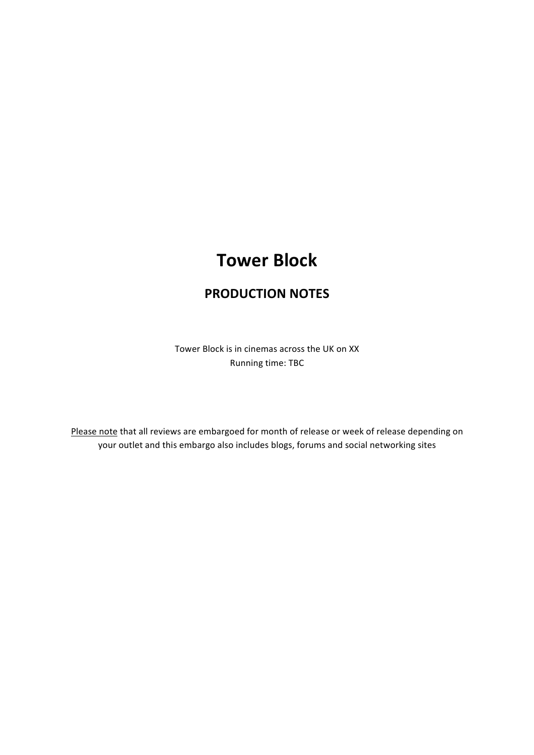# **Tower Block**

## **PRODUCTION!NOTES**

Tower Block is in cinemas across the UK on XX Running time: TBC

Please note that all reviews are embargoed for month of release or week of release depending on your outlet and this embargo also includes blogs, forums and social networking sites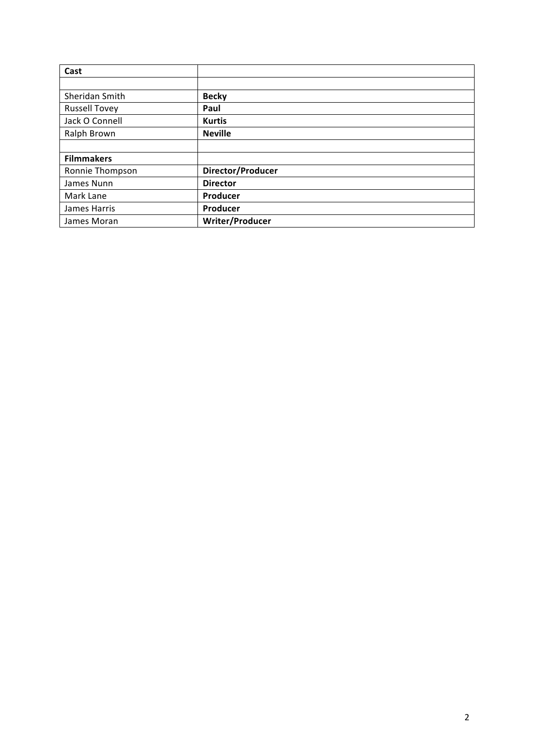| Cast                 |                   |
|----------------------|-------------------|
|                      |                   |
| Sheridan Smith       | <b>Becky</b>      |
| <b>Russell Tovey</b> | Paul              |
| Jack O Connell       | <b>Kurtis</b>     |
| Ralph Brown          | <b>Neville</b>    |
|                      |                   |
| <b>Filmmakers</b>    |                   |
| Ronnie Thompson      | Director/Producer |
| James Nunn           | <b>Director</b>   |
| Mark Lane            | Producer          |
| James Harris         | Producer          |
| James Moran          | Writer/Producer   |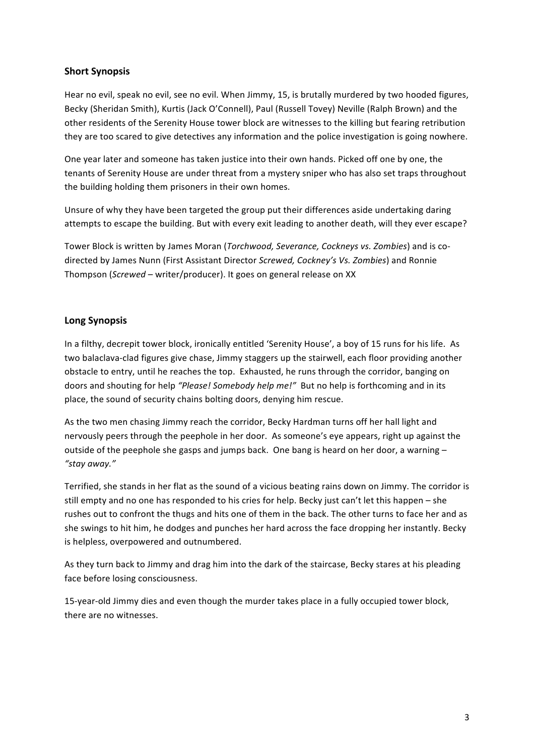## **Short Synopsis**

Hear no evil, speak no evil, see no evil. When Jimmy, 15, is brutally murdered by two hooded figures, Becky (Sheridan Smith), Kurtis (Jack O'Connell), Paul (Russell Tovey) Neville (Ralph Brown) and the other residents of the Serenity House tower block are witnesses to the killing but fearing retribution they are too scared to give detectives any information and the police investigation is going nowhere.

One year later and someone has taken justice into their own hands. Picked off one by one, the tenants of Serenity House are under threat from a mystery sniper who has also set traps throughout the building holding them prisoners in their own homes.

Unsure of why they have been targeted the group put their differences aside undertaking daring attempts to escape the building. But with every exit leading to another death, will they ever escape?

Tower Block is written by James Moran (*Torchwood, Severance, Cockneys vs. Zombies*) and is codirected by James Nunn (First Assistant Director *Screwed, Cockney's Vs. Zombies*) and Ronnie Thompson (*Screwed* – writer/producer). It goes on general release on XX

## **Long!Synopsis**

In a filthy, decrepit tower block, ironically entitled 'Serenity House', a boy of 15 runs for his life. As two balaclava-clad figures give chase, Jimmy staggers up the stairwell, each floor providing another obstacle to entry, until he reaches the top. Exhausted, he runs through the corridor, banging on doors and shouting for help "Please! Somebody help me!" But no help is forthcoming and in its place, the sound of security chains bolting doors, denying him rescue.

As the two men chasing Jimmy reach the corridor, Becky Hardman turns off her hall light and nervously peers through the peephole in her door. As someone's eye appears, right up against the outside of the peephole she gasps and jumps back. One bang is heard on her door, a warning – *"stay)away."*

Terrified, she stands in her flat as the sound of a vicious beating rains down on Jimmy. The corridor is still empty and no one has responded to his cries for help. Becky just can't let this happen – she rushes out to confront the thugs and hits one of them in the back. The other turns to face her and as she swings to hit him, he dodges and punches her hard across the face dropping her instantly. Becky is helpless, overpowered and outnumbered.

As they turn back to Jimmy and drag him into the dark of the staircase, Becky stares at his pleading face before losing consciousness.

15-year-old Jimmy dies and even though the murder takes place in a fully occupied tower block, there are no witnesses.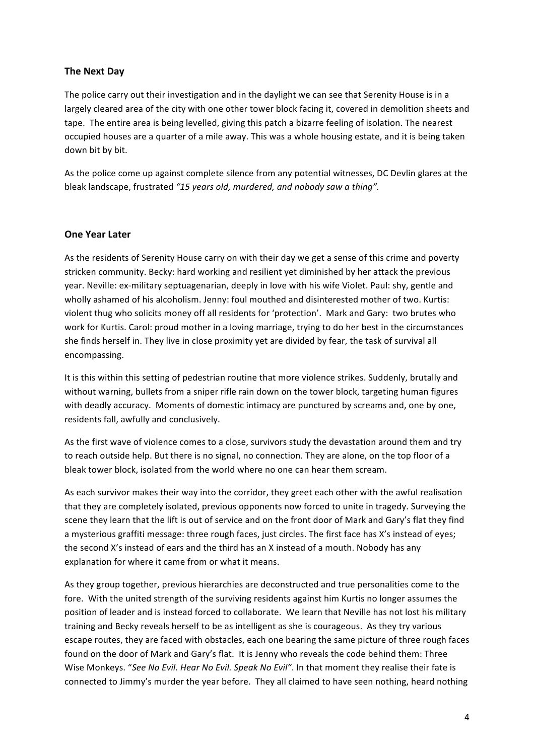## **The!Next!Day**

The police carry out their investigation and in the daylight we can see that Serenity House is in a largely cleared area of the city with one other tower block facing it, covered in demolition sheets and tape. The entire area is being levelled, giving this patch a bizarre feeling of isolation. The nearest occupied houses are a quarter of a mile away. This was a whole housing estate, and it is being taken down bit by bit.

As the police come up against complete silence from any potential witnesses, DC Devlin glares at the bleak landscape, frustrated "15 years old, murdered, and nobody saw a thing".

## **One Year Later**

As the residents of Serenity House carry on with their day we get a sense of this crime and poverty stricken community. Becky: hard working and resilient yet diminished by her attack the previous year. Neville: ex-military septuagenarian, deeply in love with his wife Violet. Paul: shy, gentle and wholly ashamed of his alcoholism. Jenny: foul mouthed and disinterested mother of two. Kurtis: violent thug who solicits money off all residents for 'protection'. Mark and Gary: two brutes who work for Kurtis. Carol: proud mother in a loving marriage, trying to do her best in the circumstances she finds herself in. They live in close proximity yet are divided by fear, the task of survival all encompassing.

It is this within this setting of pedestrian routine that more violence strikes. Suddenly, brutally and without warning, bullets from a sniper rifle rain down on the tower block, targeting human figures with deadly accuracy. Moments of domestic intimacy are punctured by screams and, one by one, residents fall, awfully and conclusively.

As the first wave of violence comes to a close, survivors study the devastation around them and try to reach outside help. But there is no signal, no connection. They are alone, on the top floor of a bleak tower block, isolated from the world where no one can hear them scream.

As each survivor makes their way into the corridor, they greet each other with the awful realisation that they are completely isolated, previous opponents now forced to unite in tragedy. Surveying the scene they learn that the lift is out of service and on the front door of Mark and Gary's flat they find a mysterious graffiti message: three rough faces, just circles. The first face has X's instead of eyes; the second X's instead of ears and the third has an X instead of a mouth. Nobody has any explanation for where it came from or what it means.

As they group together, previous hierarchies are deconstructed and true personalities come to the fore. With the united strength of the surviving residents against him Kurtis no longer assumes the position of leader and is instead forced to collaborate. We learn that Neville has not lost his military training and Becky reveals herself to be as intelligent as she is courageous. As they try various escape routes, they are faced with obstacles, each one bearing the same picture of three rough faces found on the door of Mark and Gary's flat. It is Jenny who reveals the code behind them: Three Wise Monkeys. "See No Evil. Hear No Evil. Speak No Evil". In that moment they realise their fate is connected to Jimmy's murder the year before. They all claimed to have seen nothing, heard nothing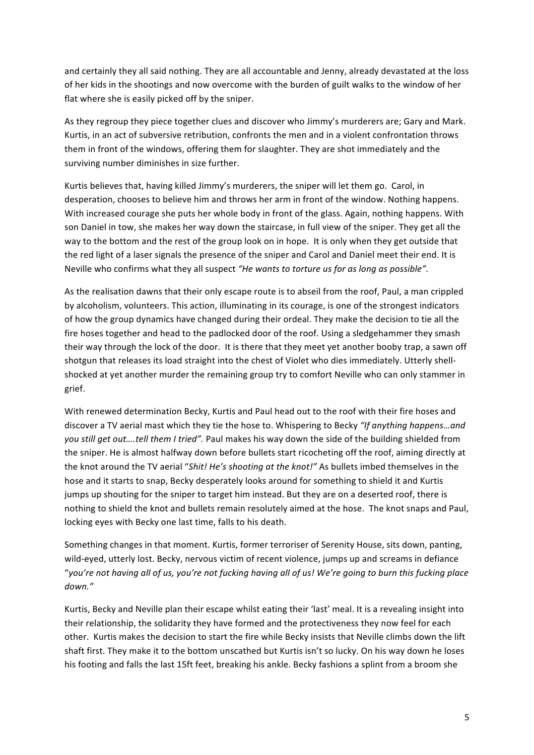and certainly they all said nothing. They are all accountable and Jenny, already devastated at the loss of her kids in the shootings and now overcome with the burden of guilt walks to the window of her flat where she is easily picked off by the sniper.

As they regroup they piece together clues and discover who Jimmy's murderers are; Gary and Mark. Kurtis, in an act of subversive retribution, confronts the men and in a violent confrontation throws them in front of the windows, offering them for slaughter. They are shot immediately and the surviving number diminishes in size further.

Kurtis believes that, having killed Jimmy's murderers, the sniper will let them go. Carol, in desperation, chooses to believe him and throws her arm in front of the window. Nothing happens. With increased courage she puts her whole body in front of the glass. Again, nothing happens. With son Daniel in tow, she makes her way down the staircase, in full view of the sniper. They get all the way to the bottom and the rest of the group look on in hope. It is only when they get outside that the red light of a laser signals the presence of the sniper and Carol and Daniel meet their end. It is Neville who confirms what they all suspect "He wants to torture us for as long as possible".

As the realisation dawns that their only escape route is to abseil from the roof, Paul, a man crippled by alcoholism, volunteers. This action, illuminating in its courage, is one of the strongest indicators of how the group dynamics have changed during their ordeal. They make the decision to tie all the fire hoses together and head to the padlocked door of the roof. Using a sledgehammer they smash their way through the lock of the door. It is there that they meet yet another booby trap, a sawn off shotgun that releases its load straight into the chest of Violet who dies immediately. Utterly shellshocked at yet another murder the remaining group try to comfort Neville who can only stammer in grief.!

With renewed determination Becky, Kurtis and Paul head out to the roof with their fire hoses and discover a TV aerial mast which they tie the hose to. Whispering to Becky "If anything happens...and you still get out....tell them I tried". Paul makes his way down the side of the building shielded from the sniper. He is almost halfway down before bullets start ricocheting off the roof, aiming directly at the knot around the TV aerial "Shit! He's shooting at the knot!" As bullets imbed themselves in the hose and it starts to snap, Becky desperately looks around for something to shield it and Kurtis jumps up shouting for the sniper to target him instead. But they are on a deserted roof, there is nothing to shield the knot and bullets remain resolutely aimed at the hose. The knot snaps and Paul, locking eyes with Becky one last time, falls to his death.

Something changes in that moment. Kurtis, former terroriser of Serenity House, sits down, panting, wild-eyed, utterly lost. Becky, nervous victim of recent violence, jumps up and screams in defiance "you're not having all of us, you're not fucking having all of us! We're going to burn this fucking place *down."*

Kurtis, Becky and Neville plan their escape whilst eating their 'last' meal. It is a revealing insight into their relationship, the solidarity they have formed and the protectiveness they now feel for each other. Kurtis makes the decision to start the fire while Becky insists that Neville climbs down the lift shaft first. They make it to the bottom unscathed but Kurtis isn't so lucky. On his way down he loses his footing and falls the last 15ft feet, breaking his ankle. Becky fashions a splint from a broom she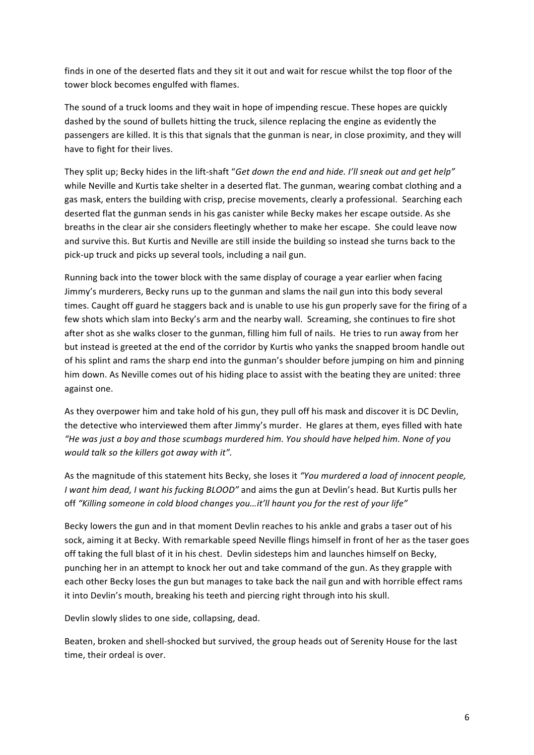finds in one of the deserted flats and they sit it out and wait for rescue whilst the top floor of the tower block becomes engulfed with flames.

The sound of a truck looms and they wait in hope of impending rescue. These hopes are quickly dashed by the sound of bullets hitting the truck, silence replacing the engine as evidently the passengers are killed. It is this that signals that the gunman is near, in close proximity, and they will have to fight for their lives.

They split up; Becky hides in the lift-shaft "Get down the end and hide. I'll sneak out and get help" while Neville and Kurtis take shelter in a deserted flat. The gunman, wearing combat clothing and a gas mask, enters the building with crisp, precise movements, clearly a professional. Searching each deserted flat the gunman sends in his gas canister while Becky makes her escape outside. As she breaths in the clear air she considers fleetingly whether to make her escape. She could leave now and survive this. But Kurtis and Neville are still inside the building so instead she turns back to the pick-up truck and picks up several tools, including a nail gun.

Running back into the tower block with the same display of courage a year earlier when facing Jimmy's murderers, Becky runs up to the gunman and slams the nail gun into this body several times. Caught off guard he staggers back and is unable to use his gun properly save for the firing of a few shots which slam into Becky's arm and the nearby wall. Screaming, she continues to fire shot after shot as she walks closer to the gunman, filling him full of nails. He tries to run away from her but instead is greeted at the end of the corridor by Kurtis who yanks the snapped broom handle out of his splint and rams the sharp end into the gunman's shoulder before jumping on him and pinning him down. As Neville comes out of his hiding place to assist with the beating they are united: three against one.

As they overpower him and take hold of his gun, they pull off his mask and discover it is DC Devlin, the detective who interviewed them after Jimmy's murder. He glares at them, eyes filled with hate *"He)was)just)a)boy and)those)scumbags)murdered)him.)You)should)have)helped)him.)None)of)you) would)talk)so)the)killers)got)away)with)it".*

As the magnitude of this statement hits Becky, she loses it "You *murdered a load of innocent people, I* want him dead, I want his fucking BLOOD" and aims the gun at Devlin's head. But Kurtis pulls her off "Killing someone in cold blood changes you...it'll haunt you for the rest of your life"

Becky lowers the gun and in that moment Devlin reaches to his ankle and grabs a taser out of his sock, aiming it at Becky. With remarkable speed Neville flings himself in front of her as the taser goes off taking the full blast of it in his chest. Devlin sidesteps him and launches himself on Becky, punching her in an attempt to knock her out and take command of the gun. As they grapple with each other Becky loses the gun but manages to take back the nail gun and with horrible effect rams it into Devlin's mouth, breaking his teeth and piercing right through into his skull.

Devlin slowly slides to one side, collapsing, dead.

Beaten, broken and shell-shocked but survived, the group heads out of Serenity House for the last time, their ordeal is over.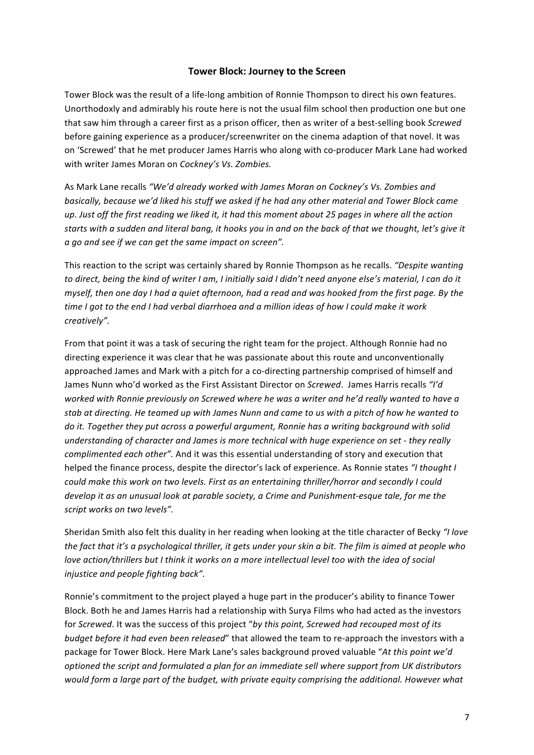## **Tower Block: Journey to the Screen**

Tower Block was the result of a life-long ambition of Ronnie Thompson to direct his own features. Unorthodoxly and admirably his route here is not the usual film school then production one but one that saw him through a career first as a prison officer, then as writer of a best-selling book *Screwed* before gaining experience as a producer/screenwriter on the cinema adaption of that novel. It was on 'Screwed' that he met producer James Harris who along with co-producer Mark Lane had worked with!writer James!Moran!on!*Cockney's)Vs. Zombies.*

As!Mark!Lane!recalls!*"We'd)already)worked with)James)Moran)on)Cockney's)Vs. Zombies)and)* basically, because we'd liked his stuff we asked if he had any other material and Tower Block came *up. Just off the first reading we liked it, it had this moment about 25 pages in where all the action* starts with a sudden and literal bang, it hooks you in and on the back of that we thought, let's give it *a* go and see if we can get the same impact on screen".

This reaction to the script was certainly shared by Ronnie Thompson as he recalls. "Despite wanting to)direct, being the kind of writer I am, I initially said I didn't need anyone else's material, I can do it *myself, then one day* I had a quiet afternoon, had a read and was hooked from the first page. By the time I got to the end I had verbal diarrhoea and a million ideas of how I could make it work *creatively".)*

From that point it was a task of securing the right team for the project. Although Ronnie had no directing experience it was clear that he was passionate about this route and unconventionally approached James and Mark with a pitch for a co-directing partnership comprised of himself and James Nunn who'd worked as the First Assistant Director on *Screwed*. James Harris recalls "I'd worked with Ronnie previously on Screwed where he was a writer and he'd really wanted to have a stab at directing. He teamed up with James Nunn and came to us with a pitch of how he wanted to do it. Together they put across a powerful argument, Ronnie has a writing background with solid *understanding of character and James is more technical with huge experience on set - they really complimented each other".* And it was this essential understanding of story and execution that helped the finance process, despite the director's lack of experience. As Ronnie states "*I thought I* could make this work on two levels. First as an entertaining thriller/horror and secondly I could develop it as an unusual look at parable society, a Crime and Punishment-esque tale, for me the script works on two levels".

Sheridan Smith also felt this duality in her reading when looking at the title character of Becky "*I love the fact that it's a psychological thriller, it gets under your skin a bit. The film is aimed at people who* love action/thrillers but I think it works on a more intellectual level too with the idea of social *injustice)and)people)fighting)back".*

Ronnie's commitment to the project played a huge part in the producer's ability to finance Tower Block. Both he and James Harris had a relationship with Surya Films who had acted as the investors for *Screwed*. It was the success of this project "by this point, Screwed had recouped most of its *budget before it had even been released*" that allowed the team to re-approach the investors with a package for Tower Block. Here Mark Lane's sales background proved valuable "At this point we'd optioned the script and formulated a plan for an immediate sell where support from UK distributors would form a large part of the budget, with private equity comprising the additional. However what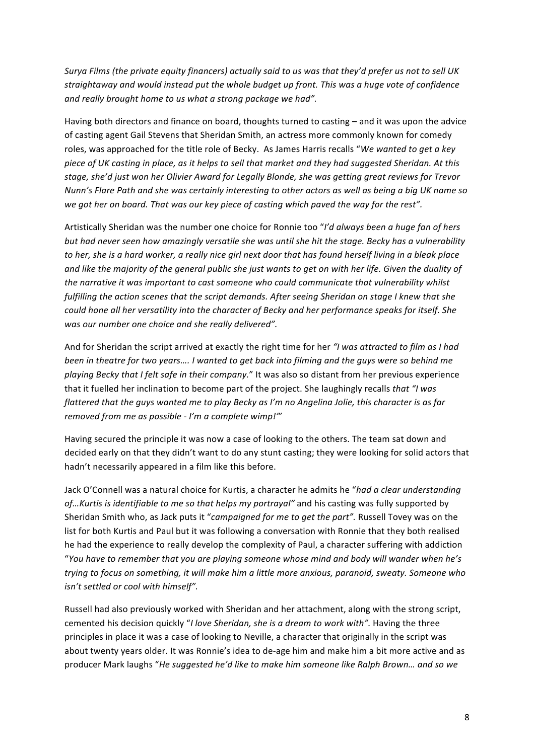*Surya Films (the private equity financers) actually said to us was that they'd prefer us not to sell UK straightaway)and)would)instead)put)the)whole)budget)up)front.)This)was)a)huge)vote)of)confidence) and really brought home to us what a strong package we had".* 

Having both directors and finance on board, thoughts turned to casting – and it was upon the advice of casting agent Gail Stevens that Sheridan Smith, an actress more commonly known for comedy roles, was approached for the title role of Becky. As James Harris recalls "We wanted to get a key piece of UK casting in place, as it helps to sell that market and they had suggested Sheridan. At this stage, she'd just won her Olivier Award for Legally Blonde, she was getting great reviews for Trevor *Nunn's Flare Path and she was certainly interesting to other actors as well as being a big UK name so* we got her on board. That was our key piece of casting which paved the way for the rest".

Artistically Sheridan was the number one choice for Ronnie too "I'd always been a huge fan of hers *but)had)never)seen)how)amazingly)versatile)she)was)until)she)hit)the)stage.)Becky)has)a)vulnerability)* to)her, she is a hard worker, a really nice girl next door that has found herself living in a bleak place and like the majority of the general public she just wants to get on with her life. Given the duality of the narrative it was important to cast someone who could communicate that vulnerability whilst fulfilling the action scenes that the script demands. After seeing Sheridan on stage I knew that she could hone all her versatility into the character of Becky and her performance speaks for itself. She was our number one choice and she really delivered".

And for Sheridan the script arrived at exactly the right time for her *"I was attracted to film as I had* been in theatre for two years.... I wanted to get back into filming and the guys were so behind me *playing Becky that I felt safe in their company."* It was also so distant from her previous experience that it fuelled her inclination to become part of the project. She laughingly recalls *that "I was flattered that the guys wanted me to play Becky as I'm no Angelina Jolie, this character is as far removed from me as possible - I'm a complete wimp!*"

Having secured the principle it was now a case of looking to the others. The team sat down and decided early on that they didn't want to do any stunt casting; they were looking for solid actors that hadn't necessarily appeared in a film like this before.

Jack O'Connell was a natural choice for Kurtis, a character he admits he "*had a clear understanding of...Kurtis is identifiable to me so that helps my portrayal"* and his casting was fully supported by Sheridan Smith who, as Jack puts it "*campaigned for me to get the part"*. Russell Tovey was on the list for both Kurtis and Paul but it was following a conversation with Ronnie that they both realised he had the experience to really develop the complexity of Paul, a character suffering with addiction "You have to remember that you are playing someone whose mind and body will wander when he's trying to focus on something, it will make him a little more anxious, paranoid, sweaty. Someone who *isn't settled or cool with himself".* 

Russell had also previously worked with Sheridan and her attachment, along with the strong script, cemented his decision quickly "*I love Sheridan, she is a dream to work with"*. Having the three principles in place it was a case of looking to Neville, a character that originally in the script was about twenty years older. It was Ronnie's idea to de-age him and make him a bit more active and as producer Mark laughs "*He suggested he'd like to make him someone like Ralph Brown... and so we*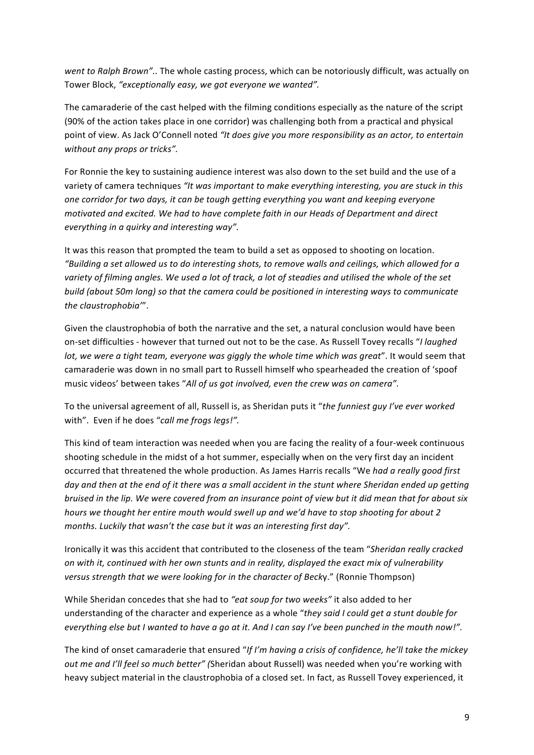*went to Ralph Brown"..* The whole casting process, which can be notoriously difficult, was actually on Tower Block, "exceptionally easy, we got everyone we wanted".

The camaraderie of the cast helped with the filming conditions especially as the nature of the script (90% of the action takes place in one corridor) was challenging both from a practical and physical point of view. As Jack O'Connell noted "It *does give you more responsibility as an actor, to entertain* without any props or tricks".

For Ronnie the key to sustaining audience interest was also down to the set build and the use of a variety of camera techniques "It was important to make everything interesting, you are stuck in this *one)corridor)for)two)days,)it)can)be)tough)getting)everything)you)want)and)keeping)everyone) motivated)and)excited.)We)had)to)have)complete)faith)in)our)Heads)of)Department)and)direct) everything in a quirky and interesting way".* 

It was this reason that prompted the team to build a set as opposed to shooting on location. *"Building)a)set)allowed)us)to)do)interesting)shots,)to)remove)walls)and)ceilings, which)allowed)for)a)* variety of filming angles. We used a lot of track, a lot of steadies and utilised the whole of the set build (about 50m long) so that the camera could be positioned in interesting ways to communicate the claustrophobia'".

Given the claustrophobia of both the narrative and the set, a natural conclusion would have been on-set difficulties - however that turned out not to be the case. As Russell Tovey recalls "*I laughed lot, we were a tight team, everyone was giggly the whole time which was great".* It would seem that camaraderie was down in no small part to Russell himself who spearheaded the creation of 'spoof music videos' between takes "All of us got involved, even the crew was on camera".

To the universal agreement of all, Russell is, as Sheridan puts it "the funniest quy I've ever worked with". Even if he does "call me frogs legs!".

This kind of team interaction was needed when you are facing the reality of a four-week continuous shooting schedule in the midst of a hot summer, especially when on the very first day an incident occurred that threatened the whole production. As James Harris recalls "We had a really good first) day and then at the end of it there was a small accident in the stunt where Sheridan ended up getting *bruised)in)the)lip.)We)were)covered)from)an)insurance)point)of)view)but)it)did)mean)that)for)about)six) hours* we thought her entire mouth would swell up and we'd have to stop shooting for about 2 *months. Luckily that wasn't the case but it was an interesting first day".* 

Ironically it was this accident that contributed to the closeness of the team "*Sheridan really cracked on)with)it,)continued)with)her)own)stunts)and)in)reality,)displayed)the)exact)mix)of)vulnerability) versus strength that we were looking for in the character of Becky."* (Ronnie Thompson)

While Sheridan concedes that she had to *"eat soup for two weeks"* it also added to her understanding of the character and experience as a whole "*they said I could get a stunt double for everything else but I wanted to have a go at it. And I can say I've been punched in the mouth now!".* 

The kind of onset camaraderie that ensured "*If I'm having a crisis of confidence, he'll take the mickey out me and I'll feel so much better" (Sheridan about Russell) was needed when you're working with* heavy subject material in the claustrophobia of a closed set. In fact, as Russell Tovey experienced, it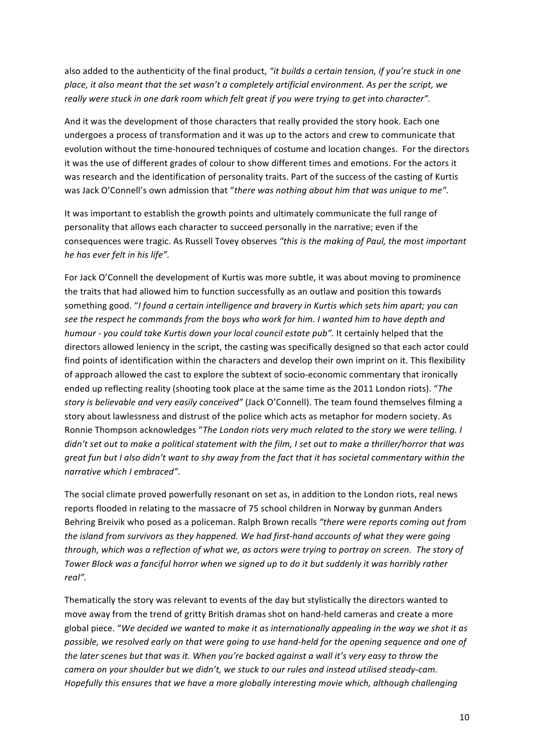also added to the authenticity of the final product, "it builds a certain tension, if you're stuck in one place, it also meant that the set wasn't a completely artificial environment. As per the script, we really were stuck in one dark room which felt great if you were trying to get into character".

And it was the development of those characters that really provided the story hook. Each one undergoes a process of transformation and it was up to the actors and crew to communicate that evolution without the time-honoured techniques of costume and location changes. For the directors it was the use of different grades of colour to show different times and emotions. For the actors it was research and the identification of personality traits. Part of the success of the casting of Kurtis was Jack O'Connell's own admission that "there was nothing about him that was unique to me".

It was important to establish the growth points and ultimately communicate the full range of personality that allows each character to succeed personally in the narrative; even if the consequences were tragic. As Russell Tovey observes "this is the making of Paul, the most important *he)has)ever)felt)in)his)life".)*

For Jack O'Connell the development of Kurtis was more subtle, it was about moving to prominence the traits that had allowed him to function successfully as an outlaw and position this towards something good. "I found a certain intelligence and bravery in Kurtis which sets him apart; you can see the respect he commands from the boys who work for him. I wanted him to have depth and *humour - you could take Kurtis down your local council estate pub".* It certainly helped that the directors allowed leniency in the script, the casting was specifically designed so that each actor could find points of identification within the characters and develop their own imprint on it. This flexibility of approach allowed the cast to explore the subtext of socio-economic commentary that ironically ended up reflecting reality (shooting took place at the same time as the 2011 London riots). "The story is believable and very easily conceived" (Jack O'Connell). The team found themselves filming a story about lawlessness and distrust of the police which acts as metaphor for modern society. As Ronnie Thompson acknowledges "The London riots very much related to the story we were telling. I didn't set out to make a political statement with the film, I set out to make a thriller/horror that was *great fun but I also didn't want to shy away from the fact that it has societal commentary within the narrative which I embraced".* 

The social climate proved powerfully resonant on set as, in addition to the London riots, real news reports flooded in relating to the massacre of 75 school children in Norway by gunman Anders Behring Breivik who posed as a policeman. Ralph Brown recalls "there were reports coming out from the island from survivors as they happened. We had first-hand accounts of what they were going *through, which was a reflection of what we, as actors were trying to portray on screen. The story of* Tower Block was a fanciful horror when we signed up to do it but suddenly it was horribly rather *real".)*

Thematically the story was relevant to events of the day but stylistically the directors wanted to move away from the trend of gritty British dramas shot on hand-held cameras and create a more global piece. "We decided we wanted to make it as internationally appealing in the way we shot it as possible, we resolved early on that were going to use hand-held for the opening sequence and one of the later scenes but that was it. When you're backed against a wall it's very easy to throw the camera on your shoulder but we didn't, we stuck to our rules and instead utilised steady-cam. *Hopefully this ensures that we have a more globally interesting movie which, although challenging*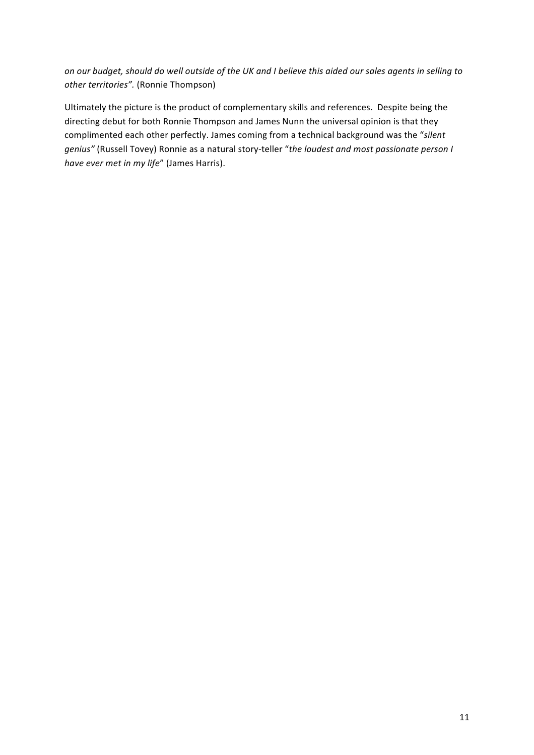*on)our)budget,)should)do)well)outside)of)the)UK)and)I)believe)this)aided)our)sales)agents)in)selling)to) other territories".* (Ronnie Thompson)

Ultimately the picture is the product of complementary skills and references. Despite being the directing debut for both Ronnie Thompson and James Nunn the universal opinion is that they complimented each other perfectly. James coming from a technical background was the "silent *genius"* (Russell Tovey) Ronnie as a natural story-teller "the loudest and most passionate person I *have ever met in my life"* (James Harris).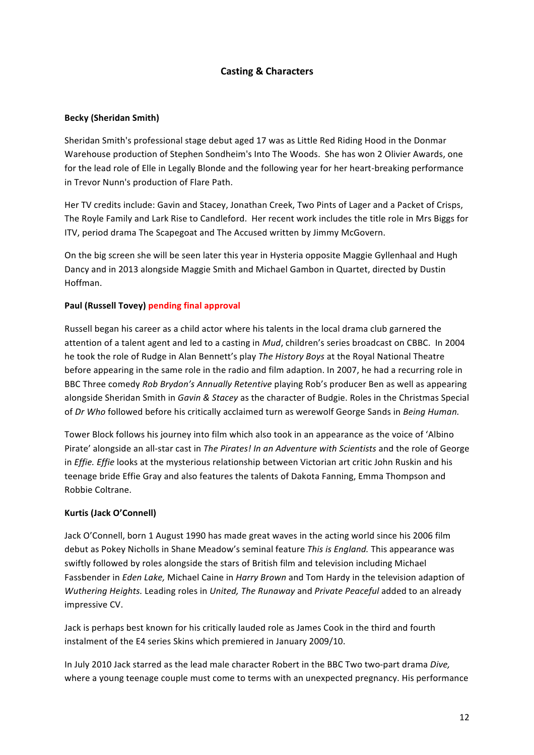## **Casting!&!Characters**

#### **Becky (Sheridan Smith)**

Sheridan Smith's professional stage debut aged 17 was as Little Red Riding Hood in the Donmar Warehouse production of Stephen Sondheim's Into The Woods. She has won 2 Olivier Awards, one for the lead role of Elle in Legally Blonde and the following year for her heart-breaking performance in Trevor Nunn's production of Flare Path.

Her TV credits include: Gavin and Stacey, Jonathan Creek, Two Pints of Lager and a Packet of Crisps, The Royle Family and Lark Rise to Candleford. Her recent work includes the title role in Mrs Biggs for ITV, period drama The Scapegoat and The Accused written by Jimmy McGovern.

On the big screen she will be seen later this year in Hysteria opposite Maggie Gyllenhaal and Hugh Dancy and in 2013 alongside Maggie Smith and Michael Gambon in Quartet, directed by Dustin Hoffman.

#### **Paul (Russell Tovey) pending final approval**

Russell began his career as a child actor where his talents in the local drama club garnered the attention of a talent agent and led to a casting in *Mud*, children's series broadcast on CBBC. In 2004 he took the role of Rudge in Alan Bennett's play *The History Boys* at the Royal National Theatre before appearing in the same role in the radio and film adaption. In 2007, he had a recurring role in BBC Three comedy *Rob Brydon's Annually Retentive* playing Rob's producer Ben as well as appearing alongside Sheridan Smith in *Gavin & Stacey* as the character of Budgie. Roles in the Christmas Special of *Dr Who* followed before his critically acclaimed turn as werewolf George Sands in *Being Human.* 

Tower Block follows his journey into film which also took in an appearance as the voice of 'Albino Pirate' alongside an all-star cast in *The Pirates! In an Adventure with Scientists* and the role of George in *Effie. Effie* looks at the mysterious relationship between Victorian art critic John Ruskin and his teenage bride Effie Gray and also features the talents of Dakota Fanning, Emma Thompson and Robbie Coltrane.

#### **Kurtis!(Jack!O'Connell)**

Jack O'Connell, born 1 August 1990 has made great waves in the acting world since his 2006 film debut as Pokey Nicholls in Shane Meadow's seminal feature *This is England*. This appearance was swiftly followed by roles alongside the stars of British film and television including Michael Fassbender in *Eden Lake,* Michael Caine in *Harry Brown* and Tom Hardy in the television adaption of *Wuthering Heights.* Leading roles in *United, The Runaway* and *Private Peaceful* added to an already impressive CV.

Jack is perhaps best known for his critically lauded role as James Cook in the third and fourth instalment of the E4 series Skins which premiered in January 2009/10.

In July 2010 Jack starred as the lead male character Robert in the BBC Two two-part drama *Dive*, where a young teenage couple must come to terms with an unexpected pregnancy. His performance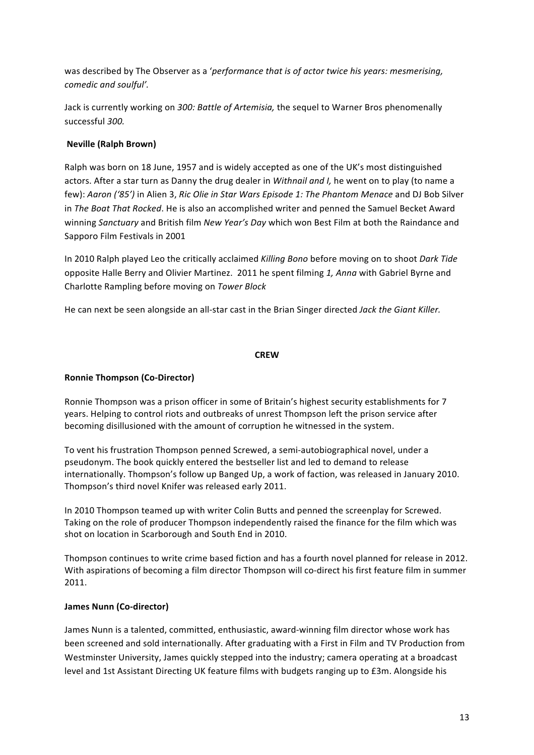was described by The Observer as a '*performance that is of actor twice his years: mesmerising, comedic)and)soulful'.*

Jack is currently working on 300: Battle of Artemisia, the sequel to Warner Bros phenomenally successful!*300.*

## **Neville (Ralph Brown)**

Ralph was born on 18 June, 1957 and is widely accepted as one of the UK's most distinguished actors. After a star turn as Danny the drug dealer in *Withnail and I,* he went on to play (to name a few): Aaron ('85') in Alien 3, Ric Olie in Star Wars Episode 1: The Phantom Menace and DJ Bob Silver in *The Boat That Rocked*. He is also an accomplished writer and penned the Samuel Becket Award winning *Sanctuary* and British film *New Year's Day* which won Best Film at both the Raindance and Sapporo Film Festivals in 2001

In 2010 Ralph played Leo the critically acclaimed *Killing Bono* before moving on to shoot *Dark Tide* opposite Halle Berry and Olivier Martinez. 2011 he spent filming 1, Anna with Gabriel Byrne and Charlotte!Rampling!before!moving!on!*Tower)Block)*

He can next be seen alongside an all-star cast in the Brian Singer directed *Jack the Giant Killer.* 

## **CREW**

## **Ronnie Thompson (Co-Director)**

Ronnie Thompson was a prison officer in some of Britain's highest security establishments for 7 years. Helping to control riots and outbreaks of unrest Thompson left the prison service after becoming disillusioned with the amount of corruption he witnessed in the system.

To vent his frustration Thompson penned Screwed, a semi-autobiographical novel, under a pseudonym. The book quickly entered the bestseller list and led to demand to release internationally. Thompson's follow up Banged Up, a work of faction, was released in January 2010. Thompson's third novel Knifer was released early 2011.

In 2010 Thompson teamed up with writer Colin Butts and penned the screenplay for Screwed. Taking on the role of producer Thompson independently raised the finance for the film which was shot on location in Scarborough and South End in 2010.

Thompson continues to write crime based fiction and has a fourth novel planned for release in 2012. With aspirations of becoming a film director Thompson will co-direct his first feature film in summer 2011.

## James Nunn (Co-director)

James Nunn is a talented, committed, enthusiastic, award-winning film director whose work has been screened and sold internationally. After graduating with a First in Film and TV Production from Westminster University, James quickly stepped into the industry; camera operating at a broadcast level and 1st Assistant Directing UK feature films with budgets ranging up to £3m. Alongside his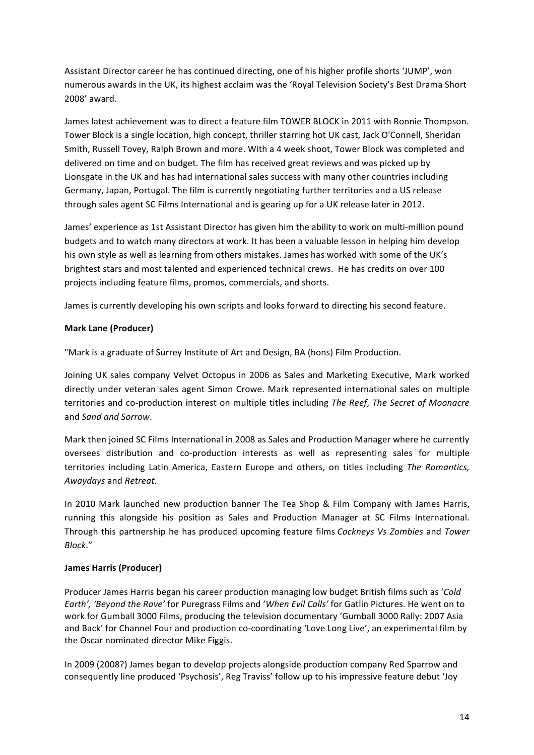Assistant Director career he has continued directing, one of his higher profile shorts 'JUMP', won numerous awards in the UK, its highest acclaim was the 'Royal Television Society's Best Drama Short 2008' award.

James latest achievement was to direct a feature film TOWER BLOCK in 2011 with Ronnie Thompson. Tower Block is a single location, high concept, thriller starring hot UK cast, Jack O'Connell, Sheridan Smith, Russell Tovey, Ralph Brown and more. With a 4 week shoot, Tower Block was completed and delivered on time and on budget. The film has received great reviews and was picked up by Lionsgate in the UK and has had international sales success with many other countries including Germany, Japan, Portugal. The film is currently negotiating further territories and a US release through sales agent SC Films International and is gearing up for a UK release later in 2012.

James' experience as 1st Assistant Director has given him the ability to work on multi-million pound budgets and to watch many directors at work. It has been a valuable lesson in helping him develop his own style as well as learning from others mistakes. James has worked with some of the UK's brightest stars and most talented and experienced technical crews. He has credits on over 100 projects including feature films, promos, commercials, and shorts.

James is currently developing his own scripts and looks forward to directing his second feature.

#### **Mark Lane (Producer)**

"Mark is a graduate of Surrey Institute of Art and Design, BA (hons) Film Production.

Joining UK sales company Velvet Octopus in 2006 as Sales and Marketing Executive, Mark worked directly under veteran sales agent Simon Crowe. Mark represented international sales on multiple territories and co-production interest on multiple titles including *The Reef, The Secret of Moonacre* and!*Sand)and)Sorrow*.

Mark then joined SC Films International in 2008 as Sales and Production Manager where he currently oversees distribution and co-production interests as well as representing sales for multiple territories including Latin America, Eastern Europe and others, on titles including The Romantics, *Awaydays)*and!*Retreat.*

In 2010 Mark launched new production banner The Tea Shop & Film Company with James Harris, running this alongside his position as Sales and Production Manager at SC Films International. Through! this!partnership!he!has!produced!upcoming! feature! films *Cockneys)Vs)Zombies)*and!*Tower) Block*."

#### **James!Harris (Producer)**

Producer James Harris began his career production managing low budget British films such as '*Cold Earth', 'Beyond the Rave'* for Puregrass Films and '*When Evil Calls'* for Gatlin Pictures. He went on to work for Gumball 3000 Films, producing the television documentary 'Gumball 3000 Rally: 2007 Asia and Back' for Channel Four and production co-coordinating 'Love Long Live', an experimental film by the Oscar nominated director Mike Figgis.

In 2009 (2008?) James began to develop projects alongside production company Red Sparrow and consequently line produced 'Psychosis', Reg Traviss' follow up to his impressive feature debut 'Joy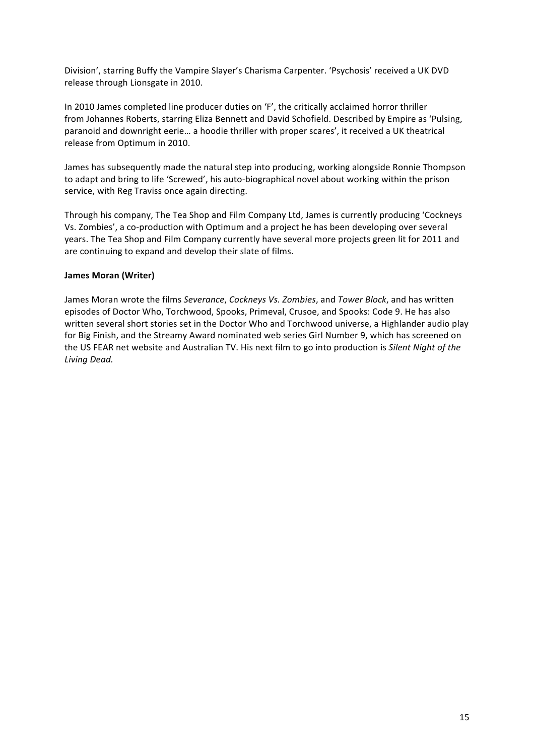Division', starring Buffy the Vampire Slayer's Charisma Carpenter. 'Psychosis' received a UK DVD release through Lionsgate in 2010.

In 2010 James completed line producer duties on 'F', the critically acclaimed horror thriller from Johannes Roberts, starring Eliza Bennett and David Schofield. Described by Empire as 'Pulsing, paranoid and downright eerie... a hoodie thriller with proper scares', it received a UK theatrical release from Optimum in 2010.

James has subsequently made the natural step into producing, working alongside Ronnie Thompson to adapt and bring to life 'Screwed', his auto-biographical novel about working within the prison service, with Reg Traviss once again directing.

Through his company, The Tea Shop and Film Company Ltd, James is currently producing 'Cockneys Vs. Zombies', a co-production with Optimum and a project he has been developing over several years. The Tea Shop and Film Company currently have several more projects green lit for 2011 and are continuing to expand and develop their slate of films.

#### **James Moran (Writer)**

James Moran wrote the films *Severance*, *Cockneys Vs. Zombies*, and *Tower Block*, and has written episodes of Doctor Who, Torchwood, Spooks, Primeval, Crusoe, and Spooks: Code 9. He has also written several short stories set in the Doctor Who and Torchwood universe, a Highlander audio play for Big Finish, and the Streamy Award nominated web series Girl Number 9, which has screened on the US FEAR net website and Australian TV. His next film to go into production is *Silent Night of the Living)Dead.*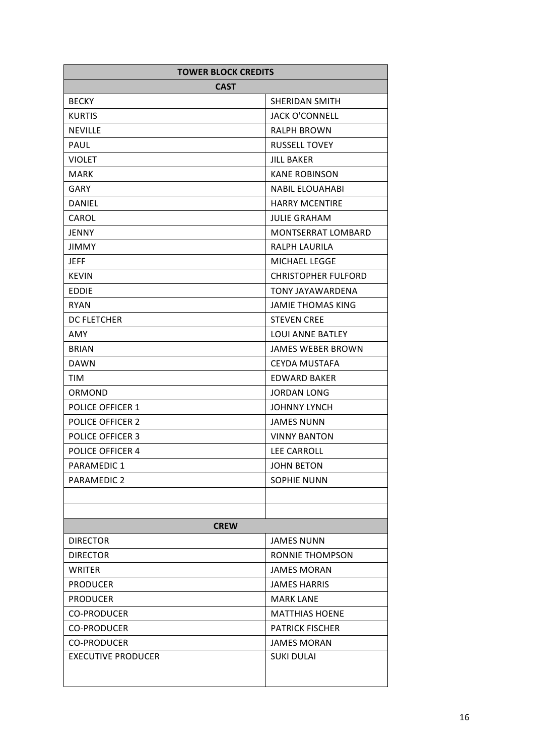| <b>TOWER BLOCK CREDITS</b> |                            |
|----------------------------|----------------------------|
| <b>CAST</b>                |                            |
| <b>BECKY</b>               | <b>SHERIDAN SMITH</b>      |
| <b>KURTIS</b>              | <b>JACK O'CONNELL</b>      |
| <b>NEVILLE</b>             | <b>RALPH BROWN</b>         |
| <b>PAUL</b>                | <b>RUSSELL TOVEY</b>       |
| <b>VIOLET</b>              | JILL BAKER                 |
| <b>MARK</b>                | <b>KANE ROBINSON</b>       |
| GARY                       | <b>NABIL ELOUAHABI</b>     |
| <b>DANIEL</b>              | <b>HARRY MCENTIRE</b>      |
| CAROL                      | <b>JULIE GRAHAM</b>        |
| <b>JENNY</b>               | MONTSERRAT LOMBARD         |
| <b>JIMMY</b>               | <b>RALPH LAURILA</b>       |
| <b>JEFF</b>                | <b>MICHAEL LEGGE</b>       |
| <b>KEVIN</b>               | <b>CHRISTOPHER FULFORD</b> |
| EDDIE                      | TONY JAYAWARDENA           |
| <b>RYAN</b>                | <b>JAMIE THOMAS KING</b>   |
| DC FLETCHER                | <b>STEVEN CREE</b>         |
| <b>AMY</b>                 | <b>LOUI ANNE BATLEY</b>    |
| <b>BRIAN</b>               | <b>JAMES WEBER BROWN</b>   |
| <b>DAWN</b>                | <b>CEYDA MUSTAFA</b>       |
| TIM                        | <b>EDWARD BAKER</b>        |
| ORMOND                     | JORDAN LONG                |
| <b>POLICE OFFICER 1</b>    | <b>JOHNNY LYNCH</b>        |
| <b>POLICE OFFICER 2</b>    | <b>JAMES NUNN</b>          |
| <b>POLICE OFFICER 3</b>    | <b>VINNY BANTON</b>        |
| <b>POLICE OFFICER 4</b>    | <b>LEE CARROLL</b>         |
| PARAMEDIC 1                | <b>JOHN BETON</b>          |
| PARAMEDIC 2                | <b>SOPHIE NUNN</b>         |
|                            |                            |
|                            |                            |
| <b>CREW</b>                |                            |
| <b>DIRECTOR</b>            | <b>JAMES NUNN</b>          |
| <b>DIRECTOR</b>            | RONNIE THOMPSON            |
| <b>WRITER</b>              | <b>JAMES MORAN</b>         |
| <b>PRODUCER</b>            | <b>JAMES HARRIS</b>        |
| <b>PRODUCER</b>            | <b>MARK LANE</b>           |
| <b>CO-PRODUCER</b>         | <b>MATTHIAS HOENE</b>      |
| <b>CO-PRODUCER</b>         | <b>PATRICK FISCHER</b>     |
| <b>CO-PRODUCER</b>         | <b>JAMES MORAN</b>         |
| <b>EXECUTIVE PRODUCER</b>  | <b>SUKI DULAI</b>          |
|                            |                            |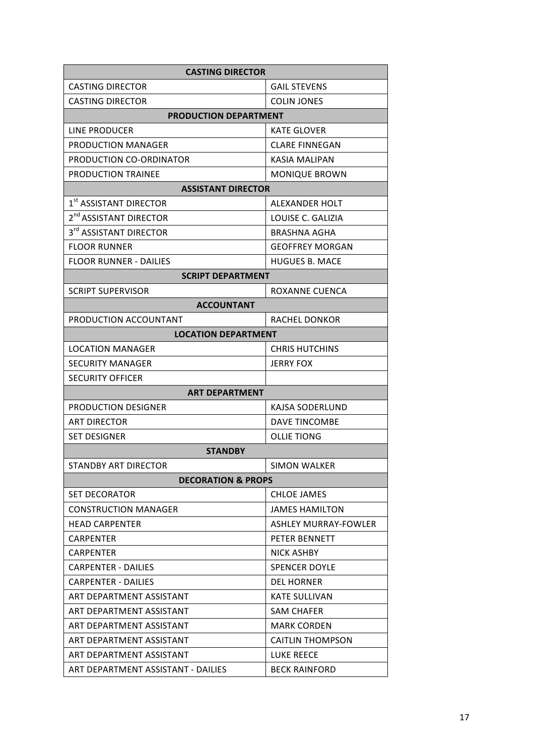| <b>CASTING DIRECTOR</b>            |                             |  |  |
|------------------------------------|-----------------------------|--|--|
| <b>CASTING DIRECTOR</b>            | <b>GAIL STEVENS</b>         |  |  |
| <b>CASTING DIRECTOR</b>            | <b>COLIN JONES</b>          |  |  |
| <b>PRODUCTION DEPARTMENT</b>       |                             |  |  |
| LINE PRODUCER                      | <b>KATE GLOVER</b>          |  |  |
| PRODUCTION MANAGER                 | <b>CLARE FINNEGAN</b>       |  |  |
| PRODUCTION CO-ORDINATOR            | <b>KASIA MALIPAN</b>        |  |  |
| <b>PRODUCTION TRAINEE</b>          | <b>MONIQUE BROWN</b>        |  |  |
| <b>ASSISTANT DIRECTOR</b>          |                             |  |  |
| 1st ASSISTANT DIRECTOR             | ALEXANDER HOLT              |  |  |
| 2 <sup>nd</sup> ASSISTANT DIRECTOR | LOUISE C. GALIZIA           |  |  |
| 3rd ASSISTANT DIRECTOR             | BRASHNA AGHA                |  |  |
| <b>FLOOR RUNNER</b>                | <b>GEOFFREY MORGAN</b>      |  |  |
| <b>FLOOR RUNNER - DAILIES</b>      | <b>HUGUES B. MACE</b>       |  |  |
| <b>SCRIPT DEPARTMENT</b>           |                             |  |  |
| <b>SCRIPT SUPERVISOR</b>           | ROXANNE CUENCA              |  |  |
| <b>ACCOUNTANT</b>                  |                             |  |  |
| PRODUCTION ACCOUNTANT              | <b>RACHEL DONKOR</b>        |  |  |
| <b>LOCATION DEPARTMENT</b>         |                             |  |  |
| <b>LOCATION MANAGER</b>            | <b>CHRIS HUTCHINS</b>       |  |  |
| SECURITY MANAGER                   | <b>JERRY FOX</b>            |  |  |
| <b>SECURITY OFFICER</b>            |                             |  |  |
| <b>ART DEPARTMENT</b>              |                             |  |  |
| PRODUCTION DESIGNER                | KAJSA SODERLUND             |  |  |
| <b>ART DIRECTOR</b>                | DAVE TINCOMBE               |  |  |
| <b>SET DESIGNER</b>                | <b>OLLIE TIONG</b>          |  |  |
| <b>STANDBY</b>                     |                             |  |  |
| <b>STANDBY ART DIRECTOR</b>        | <b>SIMON WALKER</b>         |  |  |
| <b>DECORATION &amp; PROPS</b>      |                             |  |  |
| <b>SET DECORATOR</b>               | <b>CHLOE JAMES</b>          |  |  |
| <b>CONSTRUCTION MANAGER</b>        | <b>JAMES HAMILTON</b>       |  |  |
| <b>HEAD CARPENTER</b>              | <b>ASHLEY MURRAY-FOWLER</b> |  |  |
| CARPENTER                          | PETER BENNETT               |  |  |
| <b>CARPENTER</b>                   | NICK ASHBY                  |  |  |
| <b>CARPENTER - DAILIES</b>         | <b>SPENCER DOYLE</b>        |  |  |
| <b>CARPENTER - DAILIES</b>         | <b>DEL HORNER</b>           |  |  |
| ART DEPARTMENT ASSISTANT           | <b>KATE SULLIVAN</b>        |  |  |
| ART DEPARTMENT ASSISTANT           | <b>SAM CHAFER</b>           |  |  |
| ART DEPARTMENT ASSISTANT           | <b>MARK CORDEN</b>          |  |  |
| ART DEPARTMENT ASSISTANT           | <b>CAITLIN THOMPSON</b>     |  |  |
| ART DEPARTMENT ASSISTANT           | <b>LUKE REECE</b>           |  |  |
| ART DEPARTMENT ASSISTANT - DAILIES | <b>BECK RAINFORD</b>        |  |  |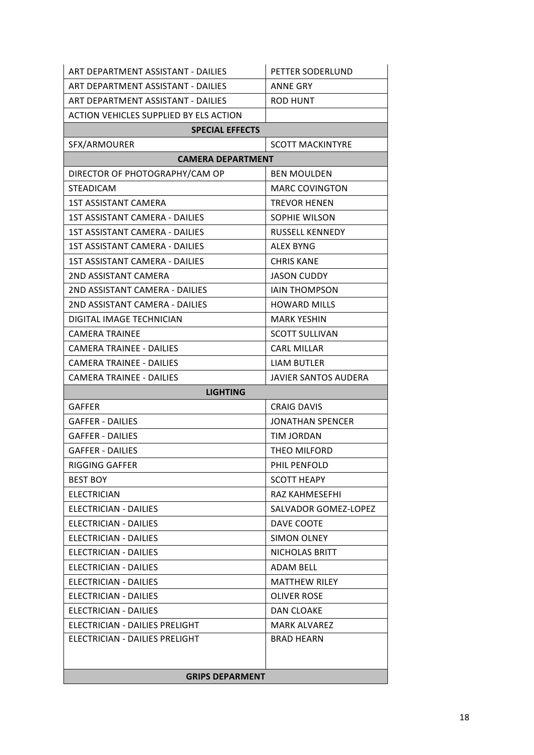| ART DEPARTMENT ASSISTANT - DAILIES     | PETTER SODERLUND            |  |  |  |
|----------------------------------------|-----------------------------|--|--|--|
| ART DEPARTMENT ASSISTANT - DAILIES     | <b>ANNE GRY</b>             |  |  |  |
| ART DEPARTMENT ASSISTANT - DAILIES     | <b>ROD HUNT</b>             |  |  |  |
| ACTION VEHICLES SUPPLIED BY ELS ACTION |                             |  |  |  |
| <b>SPECIAL EFFECTS</b>                 |                             |  |  |  |
| SFX/ARMOURER                           | <b>SCOTT MACKINTYRE</b>     |  |  |  |
| <b>CAMERA DEPARTMENT</b>               |                             |  |  |  |
| DIRECTOR OF PHOTOGRAPHY/CAM OP         | <b>BEN MOULDEN</b>          |  |  |  |
| <b>STEADICAM</b>                       | <b>MARC COVINGTON</b>       |  |  |  |
| <b>1ST ASSISTANT CAMERA</b>            | <b>TREVOR HENEN</b>         |  |  |  |
| 1ST ASSISTANT CAMERA - DAILIES         | SOPHIE WILSON               |  |  |  |
| 1ST ASSISTANT CAMERA - DAILIES         | <b>RUSSELL KENNEDY</b>      |  |  |  |
| 1ST ASSISTANT CAMERA - DAILIES         | ALEX BYNG                   |  |  |  |
| <b>1ST ASSISTANT CAMERA - DAILIES</b>  | <b>CHRIS KANE</b>           |  |  |  |
| 2ND ASSISTANT CAMERA                   | <b>JASON CUDDY</b>          |  |  |  |
| 2ND ASSISTANT CAMERA - DAILIES         | <b>IAIN THOMPSON</b>        |  |  |  |
| 2ND ASSISTANT CAMERA - DAILIES         | <b>HOWARD MILLS</b>         |  |  |  |
| DIGITAL IMAGE TECHNICIAN               | <b>MARK YESHIN</b>          |  |  |  |
| CAMERA TRAINEE                         | <b>SCOTT SULLIVAN</b>       |  |  |  |
| <b>CAMERA TRAINEE - DAILIES</b>        | <b>CARL MILLAR</b>          |  |  |  |
| <b>CAMERA TRAINEE - DAILIES</b>        | <b>LIAM BUTLER</b>          |  |  |  |
| <b>CAMERA TRAINEE - DAILIES</b>        | <b>JAVIER SANTOS AUDERA</b> |  |  |  |
| <b>LIGHTING</b>                        |                             |  |  |  |
| GAFFER                                 | <b>CRAIG DAVIS</b>          |  |  |  |
| GAFFER - DAILIES                       | <b>JONATHAN SPENCER</b>     |  |  |  |
| <b>GAFFER - DAILIES</b>                | <b>TIM JORDAN</b>           |  |  |  |
| GAFFER - DAILIES                       | THEO MILFORD                |  |  |  |
| <b>RIGGING GAFFER</b>                  | PHIL PENFOLD                |  |  |  |
| <b>BEST BOY</b>                        | <b>SCOTT HEAPY</b>          |  |  |  |
| <b>ELECTRICIAN</b>                     | RAZ KAHMESEFHI              |  |  |  |
| <b>ELECTRICIAN - DAILIES</b>           | SALVADOR GOMEZ-LOPEZ        |  |  |  |
| ELECTRICIAN - DAILIES                  | DAVE COOTE                  |  |  |  |
| ELECTRICIAN - DAILIES                  | <b>SIMON OLNEY</b>          |  |  |  |
| <b>ELECTRICIAN - DAILIES</b>           | NICHOLAS BRITT              |  |  |  |
| ELECTRICIAN - DAILIES                  | <b>ADAM BELL</b>            |  |  |  |
| ELECTRICIAN - DAILIES                  | <b>MATTHEW RILEY</b>        |  |  |  |
| ELECTRICIAN - DAILIES                  | OLIVER ROSE                 |  |  |  |
| ELECTRICIAN - DAILIES                  | <b>DAN CLOAKE</b>           |  |  |  |
| ELECTRICIAN - DAILIES PRELIGHT         | <b>MARK ALVAREZ</b>         |  |  |  |
| ELECTRICIAN - DAILIES PRELIGHT         | <b>BRAD HEARN</b>           |  |  |  |
|                                        |                             |  |  |  |
| <b>GRIPS DEPARMENT</b>                 |                             |  |  |  |
|                                        |                             |  |  |  |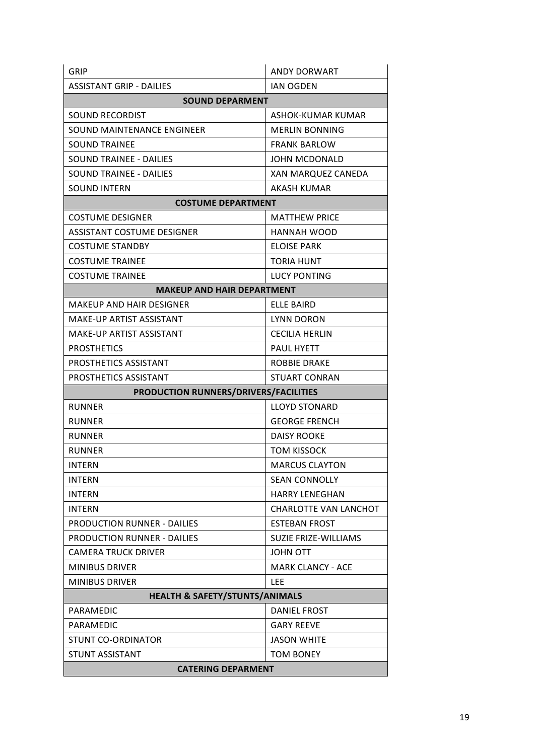| GRIP                                      | <b>ANDY DORWART</b>          |  |  |  |
|-------------------------------------------|------------------------------|--|--|--|
| ASSISTANT GRIP - DAILIES                  | <b>IAN OGDEN</b>             |  |  |  |
| <b>SOUND DEPARMENT</b>                    |                              |  |  |  |
| SOUND RECORDIST                           | ASHOK-KUMAR KUMAR            |  |  |  |
| SOUND MAINTENANCE ENGINEER                | <b>MERLIN BONNING</b>        |  |  |  |
| <b>SOUND TRAINEE</b>                      | <b>FRANK BARLOW</b>          |  |  |  |
| SOUND TRAINEE - DAILIES                   | <b>JOHN MCDONALD</b>         |  |  |  |
| SOUND TRAINEE - DAILIES                   | XAN MARQUEZ CANEDA           |  |  |  |
| SOUND INTERN                              | AKASH KUMAR                  |  |  |  |
| <b>COSTUME DEPARTMENT</b>                 |                              |  |  |  |
| <b>COSTUME DESIGNER</b>                   | <b>MATTHEW PRICE</b>         |  |  |  |
| <b>ASSISTANT COSTUME DESIGNER</b>         | HANNAH WOOD                  |  |  |  |
| <b>COSTUME STANDBY</b>                    | <b>ELOISE PARK</b>           |  |  |  |
| <b>COSTUME TRAINEE</b>                    | <b>TORIA HUNT</b>            |  |  |  |
| <b>COSTUME TRAINEE</b>                    | <b>LUCY PONTING</b>          |  |  |  |
| <b>MAKEUP AND HAIR DEPARTMENT</b>         |                              |  |  |  |
| MAKEUP AND HAIR DESIGNER                  | ELLE BAIRD                   |  |  |  |
| MAKE-UP ARTIST ASSISTANT                  | <b>LYNN DORON</b>            |  |  |  |
| MAKE-UP ARTIST ASSISTANT                  | <b>CECILIA HERLIN</b>        |  |  |  |
| <b>PROSTHETICS</b>                        | <b>PAUL HYETT</b>            |  |  |  |
| PROSTHETICS ASSISTANT                     | <b>ROBBIE DRAKE</b>          |  |  |  |
| PROSTHETICS ASSISTANT                     | <b>STUART CONRAN</b>         |  |  |  |
| PRODUCTION RUNNERS/DRIVERS/FACILITIES     |                              |  |  |  |
| <b>RUNNER</b>                             | <b>LLOYD STONARD</b>         |  |  |  |
| <b>RUNNER</b>                             | <b>GEORGE FRENCH</b>         |  |  |  |
| <b>RUNNER</b>                             | DAISY ROOKE                  |  |  |  |
| <b>RUNNER</b>                             | <b>TOM KISSOCK</b>           |  |  |  |
| <b>INTERN</b>                             | <b>MARCUS CLAYTON</b>        |  |  |  |
| <b>INTERN</b>                             | <b>SEAN CONNOLLY</b>         |  |  |  |
| <b>INTERN</b>                             | <b>HARRY LENEGHAN</b>        |  |  |  |
| <b>INTERN</b>                             | <b>CHARLOTTE VAN LANCHOT</b> |  |  |  |
| <b>PRODUCTION RUNNER - DAILIES</b>        | <b>ESTEBAN FROST</b>         |  |  |  |
| <b>PRODUCTION RUNNER - DAILIES</b>        | <b>SUZIE FRIZE-WILLIAMS</b>  |  |  |  |
| <b>CAMERA TRUCK DRIVER</b>                | <b>JOHN OTT</b>              |  |  |  |
| <b>MINIBUS DRIVER</b>                     | <b>MARK CLANCY - ACE</b>     |  |  |  |
| <b>MINIBUS DRIVER</b>                     | <b>LEE</b>                   |  |  |  |
| <b>HEALTH &amp; SAFETY/STUNTS/ANIMALS</b> |                              |  |  |  |
| PARAMEDIC                                 | DANIEL FROST                 |  |  |  |
| PARAMEDIC                                 | <b>GARY REEVE</b>            |  |  |  |
| <b>STUNT CO-ORDINATOR</b>                 | <b>JASON WHITE</b>           |  |  |  |
| STUNT ASSISTANT                           | <b>TOM BONEY</b>             |  |  |  |
| <b>CATERING DEPARMENT</b>                 |                              |  |  |  |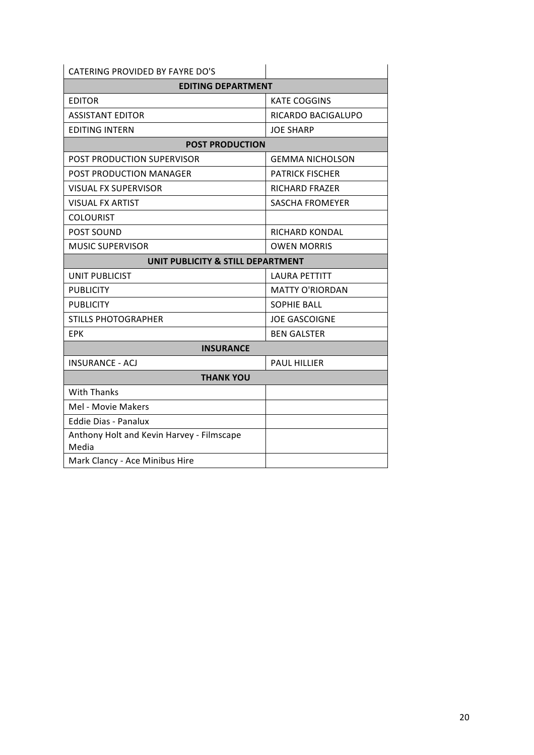| CATERING PROVIDED BY FAYRE DO'S                    |                        |  |  |  |
|----------------------------------------------------|------------------------|--|--|--|
| <b>EDITING DEPARTMENT</b>                          |                        |  |  |  |
| <b>EDITOR</b>                                      | <b>KATE COGGINS</b>    |  |  |  |
| <b>ASSISTANT EDITOR</b>                            | RICARDO BACIGALUPO     |  |  |  |
| <b>EDITING INTERN</b>                              | <b>JOE SHARP</b>       |  |  |  |
| <b>POST PRODUCTION</b>                             |                        |  |  |  |
| POST PRODUCTION SUPERVISOR                         | <b>GEMMA NICHOLSON</b> |  |  |  |
| POST PRODUCTION MANAGER                            | <b>PATRICK FISCHER</b> |  |  |  |
| <b>VISUAL FX SUPERVISOR</b>                        | <b>RICHARD FRAZER</b>  |  |  |  |
| <b>VISUAL FX ARTIST</b>                            | <b>SASCHA FROMEYER</b> |  |  |  |
| <b>COLOURIST</b>                                   |                        |  |  |  |
| POST SOUND                                         | <b>RICHARD KONDAL</b>  |  |  |  |
| <b>MUSIC SUPERVISOR</b>                            | <b>OWEN MORRIS</b>     |  |  |  |
| UNIT PUBLICITY & STILL DEPARTMENT                  |                        |  |  |  |
| <b>UNIT PUBLICIST</b>                              | <b>LAURA PETTITT</b>   |  |  |  |
| <b>PUBLICITY</b>                                   | <b>MATTY O'RIORDAN</b> |  |  |  |
| <b>PUBLICITY</b>                                   | <b>SOPHIE BALL</b>     |  |  |  |
| <b>STILLS PHOTOGRAPHER</b>                         | <b>JOE GASCOIGNE</b>   |  |  |  |
| <b>EPK</b>                                         | <b>BEN GALSTER</b>     |  |  |  |
| <b>INSURANCE</b>                                   |                        |  |  |  |
| <b>INSURANCE - ACJ</b>                             | <b>PAUL HILLIER</b>    |  |  |  |
| <b>THANK YOU</b>                                   |                        |  |  |  |
| <b>With Thanks</b>                                 |                        |  |  |  |
| Mel - Movie Makers                                 |                        |  |  |  |
| <b>Eddie Dias - Panalux</b>                        |                        |  |  |  |
| Anthony Holt and Kevin Harvey - Filmscape<br>Media |                        |  |  |  |
| Mark Clancy - Ace Minibus Hire                     |                        |  |  |  |